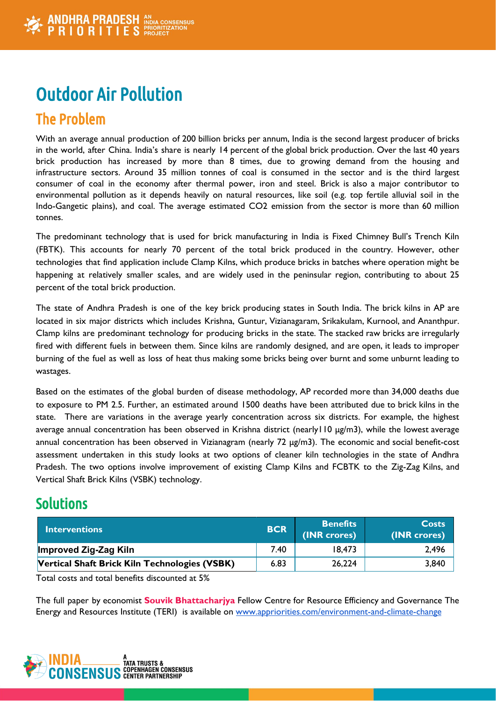# Outdoor Air Pollution

## The Problem

With an average annual production of 200 billion bricks per annum, India is the second largest producer of bricks in the world, after China. India's share is nearly 14 percent of the global brick production. Over the last 40 years brick production has increased by more than 8 times, due to growing demand from the housing and infrastructure sectors. Around 35 million tonnes of coal is consumed in the sector and is the third largest consumer of coal in the economy after thermal power, iron and steel. Brick is also a major contributor to environmental pollution as it depends heavily on natural resources, like soil (e.g. top fertile alluvial soil in the Indo-Gangetic plains), and coal. The average estimated CO2 emission from the sector is more than 60 million tonnes.

The predominant technology that is used for brick manufacturing in India is Fixed Chimney Bull's Trench Kiln (FBTK). This accounts for nearly 70 percent of the total brick produced in the country. However, other technologies that find application include Clamp Kilns, which produce bricks in batches where operation might be happening at relatively smaller scales, and are widely used in the peninsular region, contributing to about 25 percent of the total brick production.

The state of Andhra Pradesh is one of the key brick producing states in South India. The brick kilns in AP are located in six major districts which includes Krishna, Guntur, Vizianagaram, Srikakulam, Kurnool, and Ananthpur. Clamp kilns are predominant technology for producing bricks in the state. The stacked raw bricks are irregularly fired with different fuels in between them. Since kilns are randomly designed, and are open, it leads to improper burning of the fuel as well as loss of heat thus making some bricks being over burnt and some unburnt leading to wastages.

Based on the estimates of the global burden of disease methodology, AP recorded more than 34,000 deaths due to exposure to PM 2.5. Further, an estimated around 1500 deaths have been attributed due to brick kilns in the state. There are variations in the average yearly concentration across six districts. For example, the highest average annual concentration has been observed in Krishna district (nearly110 μg/m3), while the lowest average annual concentration has been observed in Vizianagram (nearly 72 μg/m3). The economic and social benefit-cost assessment undertaken in this study looks at two options of cleaner kiln technologies in the state of Andhra Pradesh. The two options involve improvement of existing Clamp Kilns and FCBTK to the Zig-Zag Kilns, and Vertical Shaft Brick Kilns (VSBK) technology.

### **Solutions**

| <b>Interventions</b>                          | <b>BCR</b> | <b>Benefits</b><br>(INR crores) | <b>Costs</b><br>(INR crores) |
|-----------------------------------------------|------------|---------------------------------|------------------------------|
| <b>Improved Zig-Zag Kiln</b>                  | 7.40       | 18,473                          | 2,496                        |
| Vertical Shaft Brick Kiln Technologies (VSBK) | 6.83       | 26,224                          | 3,840                        |

Total costs and total benefits discounted at 5%

The full paper by economist **Souvik Bhattacharjya** Fellow Centre for Resource Efficiency and Governance The Energy and Resources Institute (TERI) is available on [www.appriorities.com/environment-and-climate-change](http://www.copenhagenconsensus.com/andhra-pradesh-priorities/environment-and-climate-change)

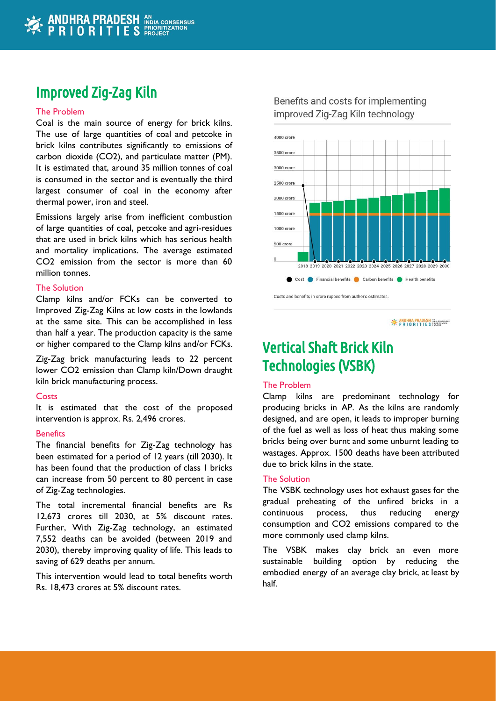### Improved Zig-Zag Kiln

#### The Problem

Coal is the main source of energy for brick kilns. The use of large quantities of coal and petcoke in brick kilns contributes significantly to emissions of carbon dioxide (CO2), and particulate matter (PM). It is estimated that, around 35 million tonnes of coal is consumed in the sector and is eventually the third largest consumer of coal in the economy after thermal power, iron and steel.

Emissions largely arise from inefficient combustion of large quantities of coal, petcoke and agri-residues that are used in brick kilns which has serious health and mortality implications. The average estimated CO2 emission from the sector is more than 60 million tonnes.

#### The Solution

Clamp kilns and/or FCKs can be converted to Improved Zig-Zag Kilns at low costs in the lowlands at the same site. This can be accomplished in less than half a year. The production capacity is the same or higher compared to the Clamp kilns and/or FCKs.

Zig-Zag brick manufacturing leads to 22 percent lower CO2 emission than Clamp kiln/Down draught kiln brick manufacturing process.

#### **Costs**

It is estimated that the cost of the proposed intervention is approx. Rs. 2,496 crores.

#### **Benefits**

The financial benefits for Zig-Zag technology has been estimated for a period of 12 years (till 2030). It has been found that the production of class 1 bricks can increase from 50 percent to 80 percent in case of Zig-Zag technologies.

The total incremental financial benefits are Rs 12,673 crores till 2030, at 5% discount rates. Further, With Zig-Zag technology, an estimated 7,552 deaths can be avoided (between 2019 and 2030), thereby improving quality of life. This leads to saving of 629 deaths per annum.

This intervention would lead to total benefits worth Rs. 18,473 crores at 5% discount rates.

### Benefits and costs for implementing improved Zig-Zag Kiln technology



**EXAMPLE AND HEADESH** NOW CONSENSUS

## Vertical Shaft Brick Kiln Technologies (VSBK)

#### The Problem

Clamp kilns are predominant technology for producing bricks in AP. As the kilns are randomly designed, and are open, it leads to improper burning of the fuel as well as loss of heat thus making some bricks being over burnt and some unburnt leading to wastages. Approx. 1500 deaths have been attributed due to brick kilns in the state.

#### The Solution

The VSBK technology uses hot exhaust gases for the gradual preheating of the unfired bricks in a continuous process, thus reducing energy consumption and CO2 emissions compared to the more commonly used clamp kilns.

The VSBK makes clay brick an even more sustainable building option by reducing the embodied energy of an average clay brick, at least by half.